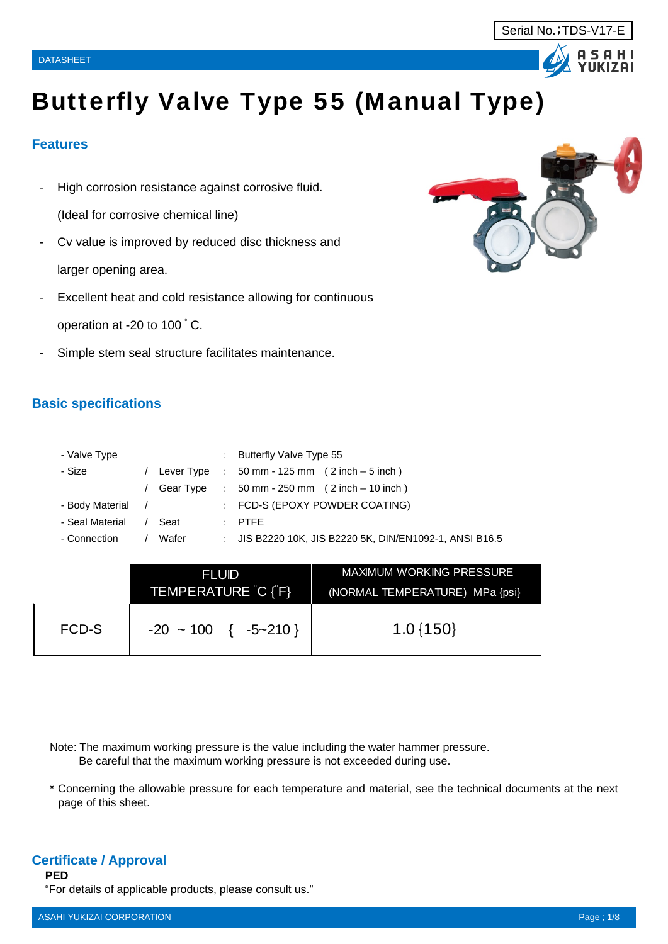# Butterfly Valve Type 55 (Manual Type)

#### **Features**

High corrosion resistance against corrosive fluid.

(Ideal for corrosive chemical line)

- Cv value is improved by reduced disc thickness and larger opening area.
- Excellent heat and cold resistance allowing for continuous operation at -20 to 100 °C.
- Simple stem seal structure facilitates maintenance.

#### **Basic specifications**

| - Valve Type    |       | Butterfly Valve Type 55                                                         |
|-----------------|-------|---------------------------------------------------------------------------------|
| - Size          |       | / Lever Type : $50 \text{ mm} \cdot 125 \text{ mm}$ (2 inch $-5 \text{ inch}$ ) |
|                 |       | Gear Type : $50 \text{ mm} - 250 \text{ mm}$ (2 inch $-10 \text{ inch}$ )       |
| - Body Material |       | $\therefore$ FCD-S (EPOXY POWDER COATING)                                       |
| - Seal Material | Seat  | $\therefore$ PTFE                                                               |
| - Connection    | Wafer | JIS B2220 10K, JIS B2220 5K, DIN/EN1092-1, ANSI B16.5                           |

|       | <b>FLUID</b><br>TEMPERATURE C {F} | <b>MAXIMUM WORKING PRESSURE</b><br>(NORMAL TEMPERATURE) MPa {psi} |
|-------|-----------------------------------|-------------------------------------------------------------------|
| FCD-S | $-20 \sim 100$ { $-5 \sim 210$ }  | $1.0\{150\}$                                                      |

Note: The maximum working pressure is the value including the water hammer pressure. Be careful that the maximum working pressure is not exceeded during use.

\* Concerning the allowable pressure for each temperature and material, see the technical documents at the next page of this sheet.

#### **Certificate / Approval**

**PED** 

"For details of applicable products, please consult us."



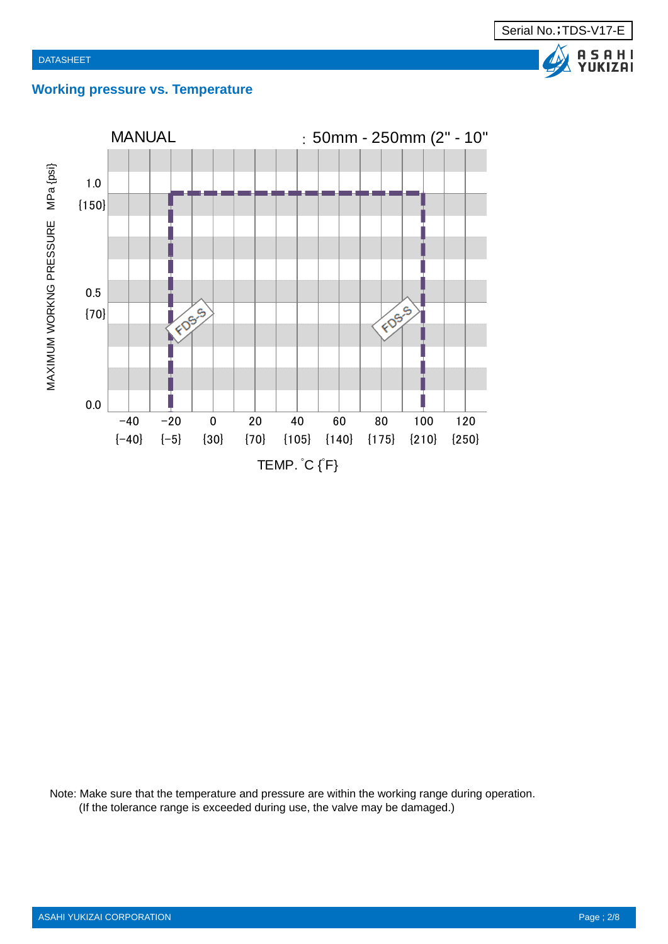



Note: Make sure that the temperature and pressure are within the working range during operation. (If the tolerance range is exceeded during use, the valve may be damaged.)

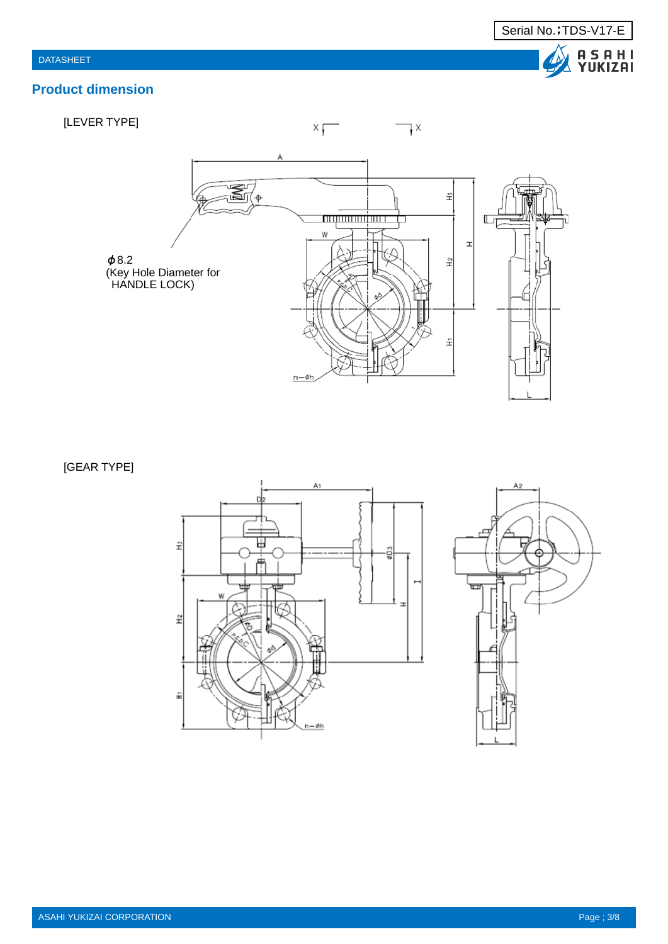







#### [GEAR TYPE]

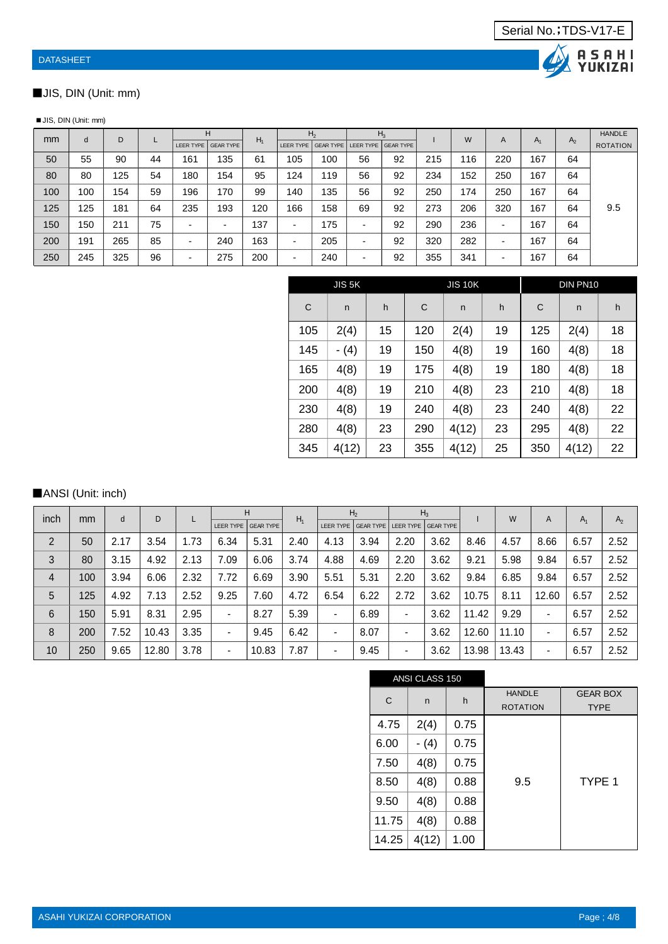

#### ■JIS, DIN (Unit: mm)

#### ■JIS, DIN (Unit: mm)

| mm<br>d |     | D   |    |                          | н                        |       |     | H <sub>2</sub>                          |    | $H_3$ |     | W   | A                        |       |                | <b>HANDLE</b>   |
|---------|-----|-----|----|--------------------------|--------------------------|-------|-----|-----------------------------------------|----|-------|-----|-----|--------------------------|-------|----------------|-----------------|
|         |     |     |    |                          | LEER TYPE   GEAR TYPE    | $H_1$ |     | LEER TYPE GEAR TYPE LEER TYPE GEAR TYPE |    |       |     |     |                          | $A_1$ | A <sub>2</sub> | <b>ROTATION</b> |
| 50      | 55  | 90  | 44 | 161                      | 135                      | 61    | 105 | 100                                     | 56 | 92    | 215 | 116 | 220                      | 167   | 64             |                 |
| 80      | 80  | 125 | 54 | 180                      | 154                      | 95    | 124 | 119                                     | 56 | 92    | 234 | 152 | 250                      | 167   | 64             |                 |
| 100     | 100 | 154 | 59 | 196                      | 170                      | 99    | 140 | 135                                     | 56 | 92    | 250 | 174 | 250                      | 167   | 64             |                 |
| 125     | 125 | 181 | 64 | 235                      | 193                      | 120   | 166 | 158                                     | 69 | 92    | 273 | 206 | 320                      | 167   | 64             | 9.5             |
| 150     | 150 | 211 | 75 | $\overline{\phantom{0}}$ | $\overline{\phantom{0}}$ | 137   | ٠   | 175                                     | -  | 92    | 290 | 236 | $\overline{\phantom{0}}$ | 167   | 64             |                 |
| 200     | 191 | 265 | 85 | $\overline{\phantom{0}}$ | 240                      | 163   | ٠   | 205                                     | -  | 92    | 320 | 282 | $\overline{\phantom{0}}$ | 167   | 64             |                 |
| 250     | 245 | 325 | 96 | -                        | 275                      | 200   | ٠   | 240                                     | -  | 92    | 355 | 341 | $\overline{\phantom{0}}$ | 167   | 64             |                 |

|     | JIS <sub>5</sub> K |    |     | <b>JIS 10K</b> |    |     | DIN PN10 |    |
|-----|--------------------|----|-----|----------------|----|-----|----------|----|
| C   | n                  | h  | C   | n              | h  | C   | n        | h  |
| 105 | 2(4)               | 15 | 120 | 2(4)           | 19 | 125 | 2(4)     | 18 |
| 145 | $- (4)$            | 19 | 150 | 4(8)           | 19 | 160 | 4(8)     | 18 |
| 165 | 4(8)               | 19 | 175 | 4(8)           | 19 | 180 | 4(8)     | 18 |
| 200 | 4(8)               | 19 | 210 | 4(8)           | 23 | 210 | 4(8)     | 18 |
| 230 | 4(8)               | 19 | 240 | 4(8)           | 23 | 240 | 4(8)     | 22 |
| 280 | 4(8)               | 23 | 290 | 4(12)          | 23 | 295 | 4(8)     | 22 |
| 345 | 4(12)              | 23 | 355 | 4(12)          | 25 | 350 | 4(12)    | 22 |

#### ■ANSI (Unit: inch)

| inch<br>mm     |     | d    | D     |      |                              | H                | $H_1$ |                | H <sub>2</sub>      |                              | $H_3$     |       | W     | A                        |       |                |
|----------------|-----|------|-------|------|------------------------------|------------------|-------|----------------|---------------------|------------------------------|-----------|-------|-------|--------------------------|-------|----------------|
|                |     |      |       |      | LEER TYPE                    | <b>GEAR TYPE</b> |       |                | LEER TYPE GEAR TYPE | LEER TYPE                    | GEAR TYPE |       |       |                          | $A_1$ | A <sub>2</sub> |
| $\overline{2}$ | 50  | 2.17 | 3.54  | 1.73 | 6.34                         | 5.31             | 2.40  | 4.13           | 3.94                | 2.20                         | 3.62      | 8.46  | 4.57  | 8.66                     | 6.57  | 2.52           |
| 3              | 80  | 3.15 | 4.92  | 2.13 | 7.09                         | 6.06             | 3.74  | 4.88           | 4.69                | 2.20                         | 3.62      | 9.21  | 5.98  | 9.84                     | 6.57  | 2.52           |
| $\overline{4}$ | 100 | 3.94 | 6.06  | 2.32 | 7.72                         | 6.69             | 3.90  | 5.51           | 5.31                | 2.20                         | 3.62      | 9.84  | 6.85  | 9.84                     | 6.57  | 2.52           |
| 5              | 125 | 4.92 | 7.13  | 2.52 | 9.25                         | 7.60             | 4.72  | 6.54           | 6.22                | 2.72                         | 3.62      | 10.75 | 8.11  | 12.60                    | 6.57  | 2.52           |
| 6              | 150 | 5.91 | 8.31  | 2.95 | $\blacksquare$               | 8.27             | 5.39  | $\blacksquare$ | 6.89                | $\overline{\phantom{0}}$     | 3.62      | 11.42 | 9.29  | $\overline{\phantom{0}}$ | 6.57  | 2.52           |
| 8              | 200 | 7.52 | 10.43 | 3.35 | $\blacksquare$               | 9.45             | 6.42  | $\blacksquare$ | 8.07                | $\blacksquare$               | 3.62      | 12.60 | 11.10 | $\blacksquare$           | 6.57  | 2.52           |
| 10             | 250 | 9.65 | 12.80 | 3.78 | $\qquad \qquad \blacksquare$ | 10.83            | 7.87  | $\blacksquare$ | 9.45                | $\qquad \qquad \blacksquare$ | 3.62      | 13.98 | 13.43 | ۰.                       | 6.57  | 2.52           |

|       | ANSI CLASS 150 |      |                 |                 |
|-------|----------------|------|-----------------|-----------------|
| C     | $\mathsf{n}$   | h    | <b>HANDLE</b>   | <b>GEAR BOX</b> |
|       |                |      | <b>ROTATION</b> | <b>TYPE</b>     |
| 4.75  | 2(4)           | 0.75 |                 |                 |
| 6.00  | $- (4)$        | 0.75 |                 |                 |
| 7.50  | 4(8)           | 0.75 |                 |                 |
| 8.50  | 4(8)           | 0.88 | 9.5             | TYPE 1          |
| 9.50  | 4(8)           | 0.88 |                 |                 |
| 11.75 | 4(8)           | 0.88 |                 |                 |
| 14.25 | 4(12)          | 1.00 |                 |                 |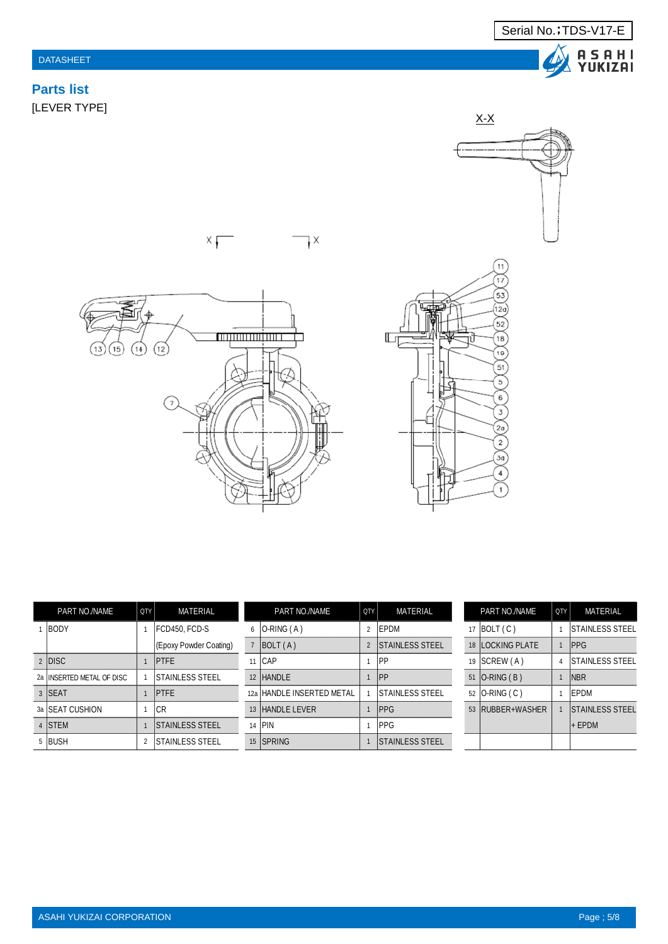#### DATASHEET

### **Parts list** [LEVER TYPE]









 $X-X$ 

| PART NO./NAME              | QTY | MATERIAL                | PART NO./NAME             | QTY            | MATERIAL                | PART NO./NAME     | QTY | <b>MATERIAL</b>         |
|----------------------------|-----|-------------------------|---------------------------|----------------|-------------------------|-------------------|-----|-------------------------|
| <b>IBODY</b>               |     | FCD450, FCD-S           | $6$   O-RING $(A)$        | $\overline{2}$ | <b>IEPDM</b>            | 17 $ BOLT(C) $    |     | <b>STAINLESS STEEL</b>  |
|                            |     | (Epoxy Powder Coating)  | 7  BOLT(A)                |                | <b>STAINLESS STEEL</b>  | 18 ILOCKING PLATE |     | <b>IPPG</b>             |
| 2 DISC                     |     | <b>IPTFE</b>            | $11$ CAP                  |                | PP                      | 19 SCREW (A)      | 4   | ISTAINLESS STEEL        |
| 2a IINSERTED METAL OF DISC |     | <b>ISTAINLESS STEEL</b> | 12 HANDLE                 |                | <b>IPP</b>              | 51   O-RING (B)   |     | <b>NBR</b>              |
| 3 ISEAT                    |     | <b>IPTFE</b>            | 12a HANDLE INSERTED METAL |                | <b>ISTAINLESS STEEL</b> | 52 O-RING (C)     |     | <b>IEPDM</b>            |
| 3a ISEAT CUSHION           |     | ICR                     | 13 HANDLE LEVER           |                | <b>IPPG</b>             | 53 RUBBER+WASHER  |     | <b>ISTAINLESS STEEL</b> |
| 4 STEM                     |     | <b>ISTAINLESS STEEL</b> | 14 PIN                    |                | <b>IPPG</b>             |                   |     | i+ EPDM                 |
| 5 BUSH                     |     | <b>ISTAINLESS STEEL</b> | 15 SPRING                 |                | <b>ISTAINLESS STEEL</b> |                   |     |                         |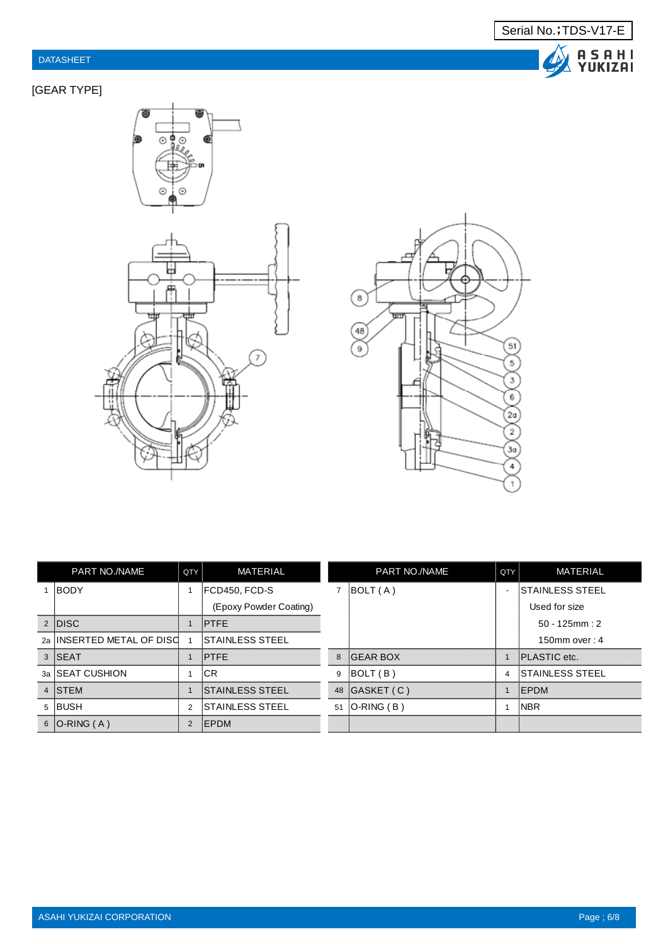A SAHI<br>Yukizai

#### DATASHEET

#### [GEAR TYPE]





| PART NO./NAME              | QTY | <b>MATERIAL</b>        |   | <b>PART NO./NAME</b> | QTY | <b>MATERIAL</b>         |
|----------------------------|-----|------------------------|---|----------------------|-----|-------------------------|
| BODY                       |     | FCD450, FCD-S          |   | BOLT(A)              |     | <b>STAINLESS STEEL</b>  |
|                            |     | (Epoxy Powder Coating) |   |                      |     | Used for size           |
| $2$ DISC                   |     | PTFE                   |   |                      |     | $50 - 125$ mm : 2       |
| 2a IINSERTED METAL OF DISC |     | ISTAINLESS STEEL       |   |                      |     | 150 $mm$ over : 4       |
| 3 SEAT                     |     | <b>PTFE</b>            | 8 | <b>GEAR BOX</b>      |     | <b>IPLASTIC</b> etc.    |
| 3a SEAT CUSHION            |     | CR.                    | 9 | BOLT(B)              | 4   | <b>ISTAINLESS STEEL</b> |
| 4 STEM                     |     | <b>STAINLESS STEEL</b> |   | 48 $ GASKET(C) $     |     | <b>EPDM</b>             |
| 5 BUSH                     | 2   | ISTAINLESS STEEL       |   | 51 $ O-RING(B) $     |     | <b>NBR</b>              |
| $6$ O-RING $(A)$           | 2   | <b>EPDM</b>            |   |                      |     |                         |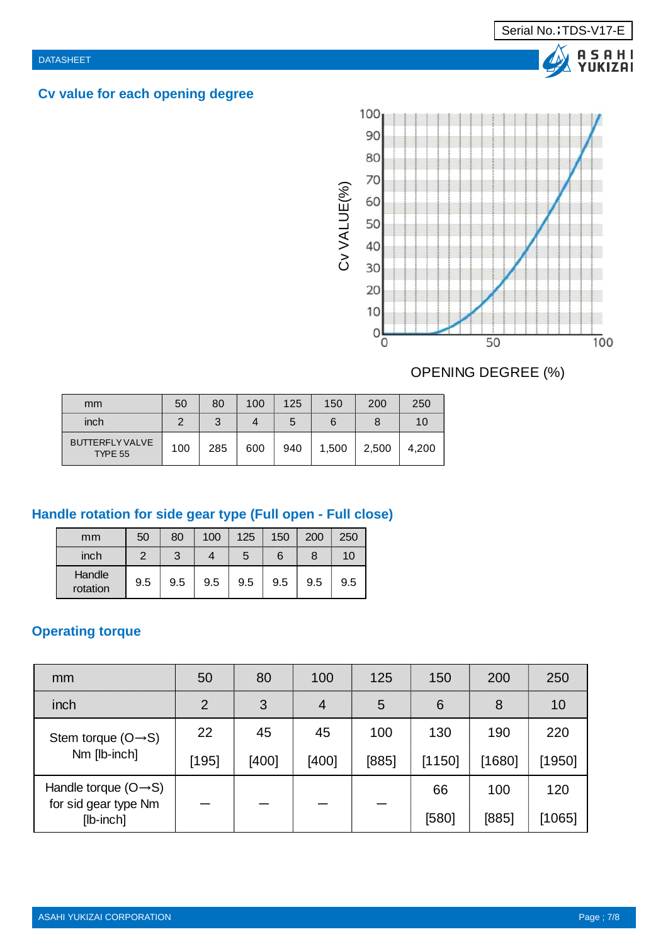

#### **Cv value for each opening degree**



OPENING DEGREE (%)

| mm                                | 50  | 80  | 100 | 125 | 150   | 200   | 250   |
|-----------------------------------|-----|-----|-----|-----|-------|-------|-------|
| inch                              | C   | ာ   |     |     |       |       | 1 C   |
| <b>BUTTERFLY VALVE</b><br>TYPE 55 | 100 | 285 | 600 | 940 | 1,500 | 2,500 | 4.200 |

## **Handle rotation for side gear type (Full open - Full close)**

| mm<br><b>STATISTICS</b> | <b>TATION</b><br><b>CATCHER</b><br><b>CONTRACTOR</b> | 80<br><b>CONTRACTOR</b><br><b>STATISTICS</b><br><b>STATISTICS</b> | 100<br><b><i><u>Programment</u></i></b><br><b>DOMESTICS</b><br><b>STATISTICS</b> | 125<br><b>CONTRACTOR</b><br><b>CONTRACTOR</b><br><b><i><u>Programmation</u></i></b> | 150<br><b>CONTRACTOR</b><br><b>CONTRACTOR</b> | 200<br><b>DOM:NO</b><br><b>CONTINUES</b> | 250.<br><b>STATISTICS</b><br><b><i><u>PERSONAL</u></i></b> |
|-------------------------|------------------------------------------------------|-------------------------------------------------------------------|----------------------------------------------------------------------------------|-------------------------------------------------------------------------------------|-----------------------------------------------|------------------------------------------|------------------------------------------------------------|
| inch                    |                                                      |                                                                   |                                                                                  |                                                                                     |                                               |                                          |                                                            |
| Handle<br>rotation      | 9.5                                                  | 9.5                                                               | 9.5                                                                              | 9.5                                                                                 | 9.5                                           | 9.5                                      | 9.5                                                        |

#### **Operating torque**

| mm                                | 50             | 80    | 100            | 125   | 150    | 200    | 250    |
|-----------------------------------|----------------|-------|----------------|-------|--------|--------|--------|
| inch                              | $\overline{2}$ | 3     | $\overline{4}$ | 5     | 6      | 8      | 10     |
| Stem torque $(O \rightarrow S)$   | 22             | 45    | 45             | 100   | 130    | 190    | 220    |
| Nm [lb-inch]                      | [195]          | [400] | [400]          | [885] | [1150] | [1680] | [1950] |
| Handle torque $(O \rightarrow S)$ |                |       |                |       | 66     | 100    | 120    |
| for sid gear type Nm<br>[lb-inch] |                |       |                |       | [580]  | [885]  | [1065] |